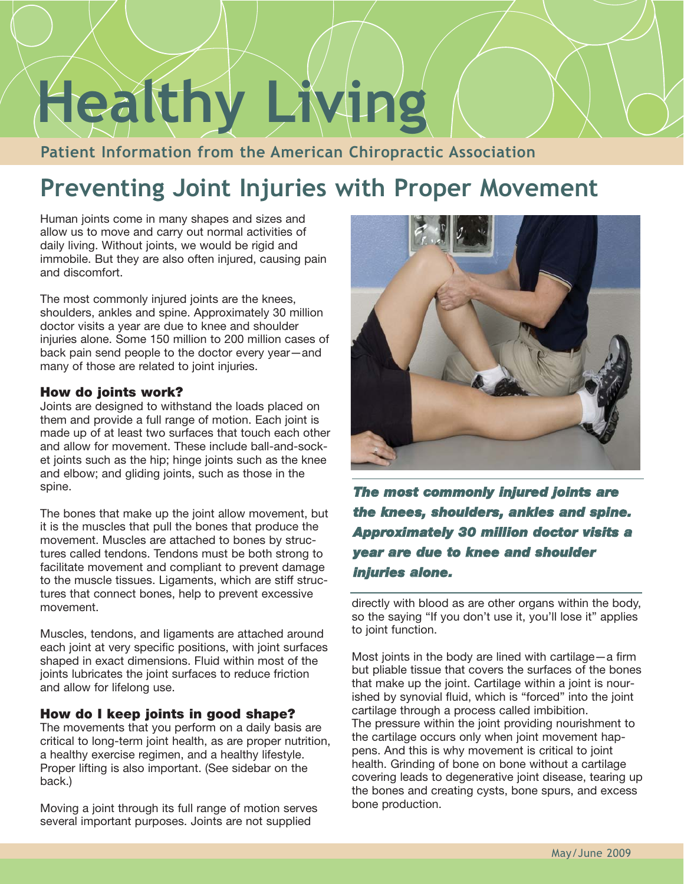# **Healthy Living**

**Patient Information from the American Chiropractic Association**

# **Preventing Joint Injuries with Proper Movement**

Human joints come in many shapes and sizes and allow us to move and carry out normal activities of daily living. Without joints, we would be rigid and immobile. But they are also often injured, causing pain and discomfort.

The most commonly injured joints are the knees, shoulders, ankles and spine. Approximately 30 million doctor visits a year are due to knee and shoulder injuries alone. Some 150 million to 200 million cases of back pain send people to the doctor every year—and many of those are related to joint injuries.

# **How do joints work?**

Joints are designed to withstand the loads placed on them and provide a full range of motion. Each joint is made up of at least two surfaces that touch each other and allow for movement. These include ball-and-socket joints such as the hip; hinge joints such as the knee and elbow; and gliding joints, such as those in the spine.

The bones that make up the joint allow movement, but it is the muscles that pull the bones that produce the movement. Muscles are attached to bones by structures called tendons. Tendons must be both strong to facilitate movement and compliant to prevent damage to the muscle tissues. Ligaments, which are stiff structures that connect bones, help to prevent excessive movement.

Muscles, tendons, and ligaments are attached around each joint at very specific positions, with joint surfaces shaped in exact dimensions. Fluid within most of the joints lubricates the joint surfaces to reduce friction and allow for lifelong use.

# **How do I keep joints in good shape?**

The movements that you perform on a daily basis are critical to long-term joint health, as are proper nutrition, a healthy exercise regimen, and a healthy lifestyle. Proper lifting is also important. (See sidebar on the back.)

Moving a joint through its full range of motion serves several important purposes. Joints are not supplied



**The most commonly injured joints are the knees, shoulders, ankles and spine. Approximately 30 million doctor visits a year are due to knee and shoulder injuries alone.**

directly with blood as are other organs within the body, so the saying "If you don't use it, you'll lose it" applies to joint function.

Most joints in the body are lined with cartilage—a firm but pliable tissue that covers the surfaces of the bones that make up the joint. Cartilage within a joint is nourished by synovial fluid, which is "forced" into the joint cartilage through a process called imbibition. The pressure within the joint providing nourishment to the cartilage occurs only when joint movement happens. And this is why movement is critical to joint health. Grinding of bone on bone without a cartilage covering leads to degenerative joint disease, tearing up the bones and creating cysts, bone spurs, and excess bone production.